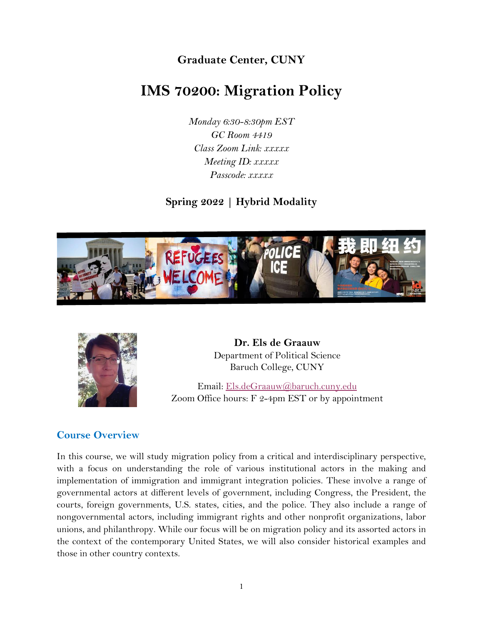**Graduate Center, CUNY**

# **IMS 70200: Migration Policy**

*Monday 6:30-8:30pm EST GC Room 4419 Class Zoom Link: xxxxx Meeting ID: xxxxx Passcode: xxxxx*

**Spring 2022 | Hybrid Modality**





**Dr. Els de Graauw** Department of Political Science Baruch College, CUNY

Email: [Els.deGraauw@baruch.cuny.edu](mailto:Els.deGraauw@baruch.cuny.edu) Zoom Office hours: F 2-4pm EST or by appointment

## **Course Overview**

In this course, we will study migration policy from a critical and interdisciplinary perspective, with a focus on understanding the role of various institutional actors in the making and implementation of immigration and immigrant integration policies. These involve a range of governmental actors at different levels of government, including Congress, the President, the courts, foreign governments, U.S. states, cities, and the police. They also include a range of nongovernmental actors, including immigrant rights and other nonprofit organizations, labor unions, and philanthropy. While our focus will be on migration policy and its assorted actors in the context of the contemporary United States, we will also consider historical examples and those in other country contexts.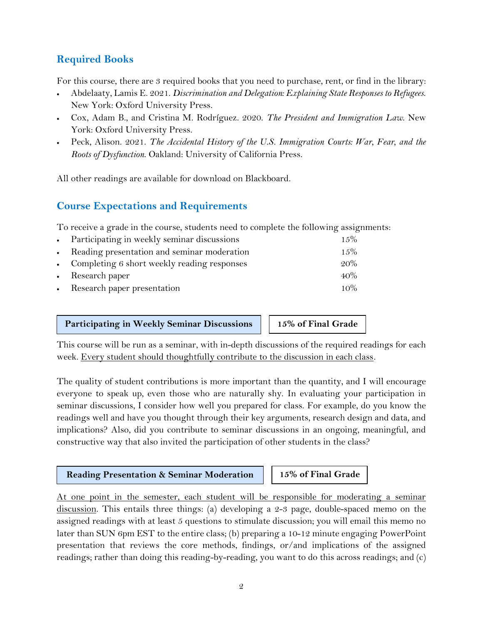## **Required Books**

For this course, there are 3 required books that you need to purchase, rent, or find in the library:

- Abdelaaty, Lamis E. 2021. *Discrimination and Delegation: Explaining State Responses to Refugees*. New York: Oxford University Press.
- Cox, Adam B., and Cristina M. Rodríguez. 2020. *The President and Immigration Law*. New York: Oxford University Press.
- Peck, Alison. 2021. *The Accidental History of the U.S. Immigration Courts: War, Fear, and the Roots of Dysfunction*. Oakland: University of California Press.

All other readings are available for download on Blackboard.

## **Course Expectations and Requirements**

To receive a grade in the course, students need to complete the following assignments:

| • Participating in weekly seminar discussions | $1.5\%$ |
|-----------------------------------------------|---------|
| • Reading presentation and seminar moderation | $1.5\%$ |
| • Completing 6 short weekly reading responses | $20\%$  |
| • Research paper                              | $40\%$  |
| • Research paper presentation                 | $10\%$  |

#### **Participating in Weekly Seminar Discussions 15% of Final Grade**

This course will be run as a seminar, with in-depth discussions of the required readings for each week. Every student should thoughtfully contribute to the discussion in each class*.*

The quality of student contributions is more important than the quantity, and I will encourage everyone to speak up, even those who are naturally shy. In evaluating your participation in seminar discussions, I consider how well you prepared for class. For example, do you know the readings well and have you thought through their key arguments, research design and data, and implications? Also, did you contribute to seminar discussions in an ongoing, meaningful, and constructive way that also invited the participation of other students in the class?

#### **Reading Presentation & Seminar Moderation 15% of Final Grade**

At one point in the semester, each student will be responsible for moderating a seminar discussion. This entails three things: (a) developing a 2-3 page, double-spaced memo on the assigned readings with at least 5 questions to stimulate discussion; you will email this memo no later than SUN 6pm EST to the entire class; (b) preparing a 10-12 minute engaging PowerPoint presentation that reviews the core methods, findings, or/and implications of the assigned readings; rather than doing this reading-by-reading, you want to do this across readings; and (c)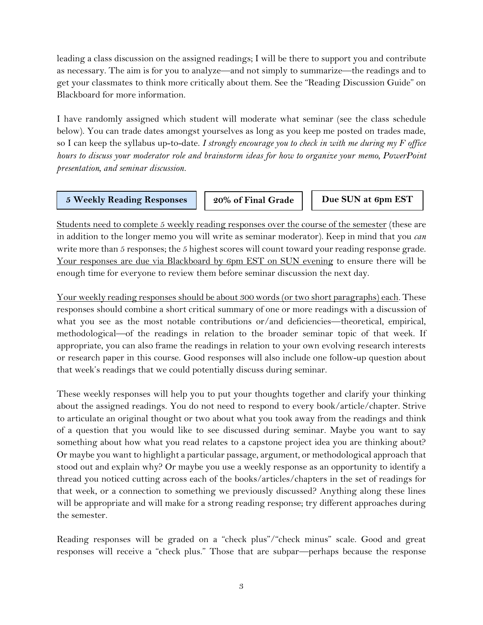leading a class discussion on the assigned readings; I will be there to support you and contribute as necessary. The aim is for you to analyze—and not simply to summarize—the readings and to get your classmates to think more critically about them. See the "Reading Discussion Guide" on Blackboard for more information.

I have randomly assigned which student will moderate what seminar (see the class schedule below). You can trade dates amongst yourselves as long as you keep me posted on trades made, so I can keep the syllabus up-to-date. *I strongly encourage you to check in with me during my F office hours to discuss your moderator role and brainstorm ideas for how to organize your memo, PowerPoint presentation, and seminar discussion.*

#### **5 Weekly Reading Responses 20% of Final Grade Due SUN at 6pm EST**

Students need to complete 5 weekly reading responses over the course of the semester (these are in addition to the longer memo you will write as seminar moderator). Keep in mind that you *can* write more than 5 responses; the 5 highest scores will count toward your reading response grade. Your responses are due via Blackboard by 6pm EST on SUN evening to ensure there will be enough time for everyone to review them before seminar discussion the next day.

Your weekly reading responses should be about 300 words (or two short paragraphs) each. These responses should combine a short critical summary of one or more readings with a discussion of what you see as the most notable contributions or/and deficiencies—theoretical, empirical, methodological—of the readings in relation to the broader seminar topic of that week. If appropriate, you can also frame the readings in relation to your own evolving research interests or research paper in this course. Good responses will also include one follow-up question about that week's readings that we could potentially discuss during seminar.

These weekly responses will help you to put your thoughts together and clarify your thinking about the assigned readings. You do not need to respond to every book/article/chapter. Strive to articulate an original thought or two about what you took away from the readings and think of a question that you would like to see discussed during seminar. Maybe you want to say something about how what you read relates to a capstone project idea you are thinking about? Or maybe you want to highlight a particular passage, argument, or methodological approach that stood out and explain why? Or maybe you use a weekly response as an opportunity to identify a thread you noticed cutting across each of the books/articles/chapters in the set of readings for that week, or a connection to something we previously discussed? Anything along these lines will be appropriate and will make for a strong reading response; try different approaches during the semester.

Reading responses will be graded on a "check plus"/"check minus" scale. Good and great responses will receive a "check plus." Those that are subpar—perhaps because the response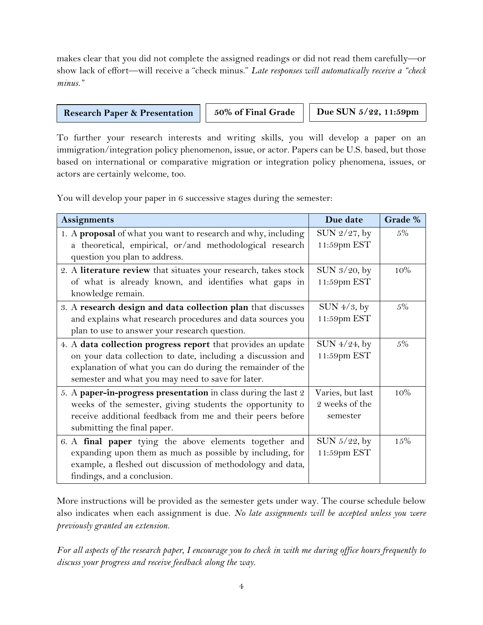makes clear that you did not complete the assigned readings or did not read them carefully—or show lack of effort—will receive a "check minus." *Late responses will automatically receive a "check minus."*

#### **Research Paper & Presentation** | 50% of Final Grade | Due SUN 5/22, 11:59pm

**EST**

To further your research interests and writing skills, you will develop a paper on an immigration/integration policy phenomenon, issue, or actor. Papers can be U.S. based, but those based on international or comparative migration or integration policy phenomena, issues, or actors are certainly welcome, too.

You will develop your paper in 6 successive stages during the semester:

| <b>Assignments</b>                                                                                                                                                                                                                             | Due date                                       | Grade % |
|------------------------------------------------------------------------------------------------------------------------------------------------------------------------------------------------------------------------------------------------|------------------------------------------------|---------|
| 1. A proposal of what you want to research and why, including<br>a theoretical, empirical, or/and methodological research<br>question you plan to address.                                                                                     | SUN 2/27, by<br>11:59pm EST                    | 5%      |
| 2. A literature review that situates your research, takes stock<br>of what is already known, and identifies what gaps in<br>knowledge remain.                                                                                                  | SUN $3/20$ , by<br>11:59pm EST                 | 10%     |
| 3. A research design and data collection plan that discusses<br>and explains what research procedures and data sources you<br>plan to use to answer your research question.                                                                    | SUN $4/3$ , by<br>11:59pm EST                  | $5\%$   |
| 4. A data collection progress report that provides an update<br>on your data collection to date, including a discussion and<br>explanation of what you can do during the remainder of the<br>semester and what you may need to save for later. | SUN 4/24, by<br>11:59pm EST                    | $5\%$   |
| 5. A paper-in-progress presentation in class during the last 2<br>weeks of the semester, giving students the opportunity to<br>receive additional feedback from me and their peers before<br>submitting the final paper.                       | Varies, but last<br>2 weeks of the<br>semester | 10%     |
| 6. A final paper tying the above elements together and<br>expanding upon them as much as possible by including, for<br>example, a fleshed out discussion of methodology and data,<br>findings, and a conclusion.                               | SUN 5/22, by<br>11:59pm EST                    | 15%     |

More instructions will be provided as the semester gets under way. The course schedule below also indicates when each assignment is due. *No late assignments will be accepted unless you were previously granted an extension.*

*For all aspects of the research paper, I encourage you to check in with me during office hours frequently to discuss your progress and receive feedback along the way.*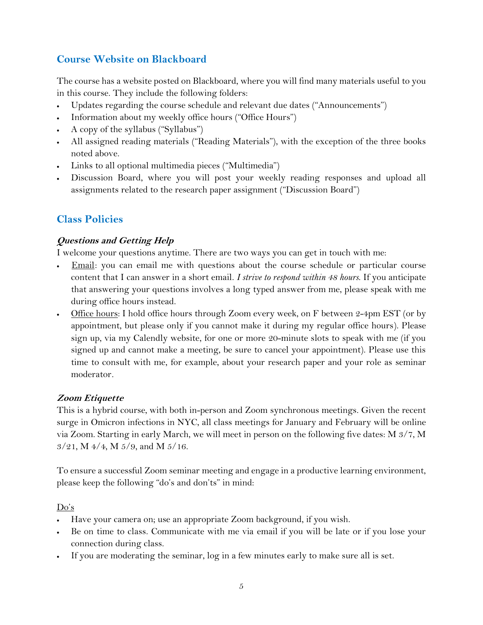## **Course Website on Blackboard**

The course has a website posted on Blackboard, where you will find many materials useful to you in this course. They include the following folders:

- Updates regarding the course schedule and relevant due dates ("Announcements")
- Information about my weekly office hours ("Office Hours")
- A copy of the syllabus ("Syllabus")
- All assigned reading materials ("Reading Materials"), with the exception of the three books noted above.
- Links to all optional multimedia pieces ("Multimedia")
- Discussion Board, where you will post your weekly reading responses and upload all assignments related to the research paper assignment ("Discussion Board")

## **Class Policies**

### **Questions and Getting Help**

I welcome your questions anytime. There are two ways you can get in touch with me:

- Email: you can email me with questions about the course schedule or particular course content that I can answer in a short email. *I strive to respond within 48 hours*. If you anticipate that answering your questions involves a long typed answer from me, please speak with me during office hours instead.
- Office hours: I hold office hours through Zoom every week, on F between 2-4pm EST (or by appointment, but please only if you cannot make it during my regular office hours). Please sign up, via my Calendly website, for one or more 20-minute slots to speak with me (if you signed up and cannot make a meeting, be sure to cancel your appointment). Please use this time to consult with me, for example, about your research paper and your role as seminar moderator*.*

#### **Zoom Etiquette**

This is a hybrid course, with both in-person and Zoom synchronous meetings. Given the recent surge in Omicron infections in NYC, all class meetings for January and February will be online via Zoom. Starting in early March, we will meet in person on the following five dates: M 3/7, M 3/21, M 4/4, M 5/9, and M 5/16.

To ensure a successful Zoom seminar meeting and engage in a productive learning environment, please keep the following "do's and don'ts" in mind:

#### Do's

- Have your camera on; use an appropriate Zoom background, if you wish.
- Be on time to class. Communicate with me via email if you will be late or if you lose your connection during class.
- If you are moderating the seminar, log in a few minutes early to make sure all is set.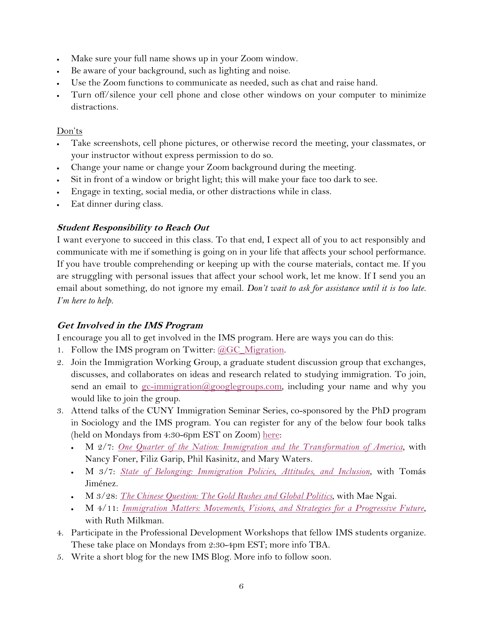- Make sure your full name shows up in your Zoom window.
- Be aware of your background, such as lighting and noise.
- Use the Zoom functions to communicate as needed, such as chat and raise hand.
- Turn off/silence your cell phone and close other windows on your computer to minimize distractions.

#### Don'ts

- Take screenshots, cell phone pictures, or otherwise record the meeting, your classmates, or your instructor without express permission to do so.
- Change your name or change your Zoom background during the meeting.
- Sit in front of a window or bright light; this will make your face too dark to see.
- Engage in texting, social media, or other distractions while in class.
- Eat dinner during class.

## **Student Responsibility to Reach Out**

I want everyone to succeed in this class. To that end, I expect all of you to act responsibly and communicate with me if something is going on in your life that affects your school performance. If you have trouble comprehending or keeping up with the course materials, contact me. If you are struggling with personal issues that affect your school work, let me know. If I send you an email about something, do not ignore my email. *Don't wait to ask for assistance until it is too late. I'm here to help.*

## **Get Involved in the IMS Program**

I encourage you all to get involved in the IMS program. Here are ways you can do this:

- 1. Follow the IMS program on Twitter: [@GC\\_Migration.](https://twitter.com/GC_Migration)
- 2. Join the Immigration Working Group, a graduate student discussion group that exchanges, discusses, and collaborates on ideas and research related to studying immigration. To join, send an email to [gc-immigration@googlegroups.com,](mailto:gc-immigration@googlegroups.com) including your name and why you would like to join the group.
- 3. Attend talks of the CUNY Immigration Seminar Series, co-sponsored by the PhD program in Sociology and the IMS program. You can register for any of the below four book talks (held on Mondays from 4:30-6pm EST on Zoom) [here:](https://www.gc.cuny.edu/Page-Elements/Academics-Research-Centers-Initiatives/Masters-Programs/International-Migration-Studies/Immigration-Events)
	- M 2/7: *[One Quarter of the Nation: Immigration and the](https://www.degruyter.com/document/isbn/9780691206554/html) Transformation of America*, with Nancy Foner, Filiz Garip, Phil Kasinitz, and Mary Waters.
	- M 3/7: *[State of Belonging: Immigration Policies, Attitudes, and Inclusion](https://www.russellsage.org/publications/states-belonging)*, with Tomás Jiménez.
	- M 3/28: *[The Chinese Question: The Gold Rushes and Global Politics](https://wwnorton.com/books/9780393634167)*, with Mae Ngai.
	- M 4/11: *[Immigration Matters: Movements, Visions, and Strategies for a Progressive Future](https://thenewpress.com/books/immigration-matters)*, with Ruth Milkman.
- 4. Participate in the Professional Development Workshops that fellow IMS students organize. These take place on Mondays from 2:30-4pm EST; more info TBA.
- 5. Write a short blog for the new IMS Blog. More info to follow soon.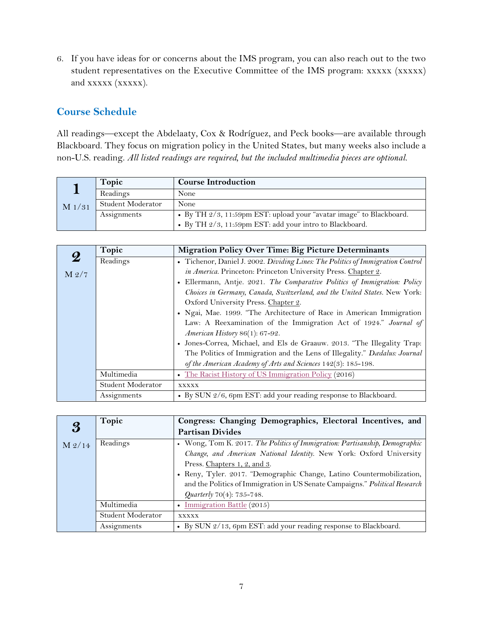6. If you have ideas for or concerns about the IMS program, you can also reach out to the two student representatives on the Executive Committee of the IMS program: xxxxx (xxxxx) and xxxxx (xxxxx).

# **Course Schedule**

All readings—except the Abdelaaty, Cox & Rodríguez, and Peck books—are available through Blackboard. They focus on migration policy in the United States, but many weeks also include a non-U.S. reading. *All listed readings are required, but the included multimedia pieces are optional.*

|          | Topic             | <b>Course Introduction</b>                                          |
|----------|-------------------|---------------------------------------------------------------------|
|          | Readings          | None                                                                |
| $M$ 1/31 | Student Moderator | None                                                                |
|          | Assignments       | • By TH 2/3, 11:59pm EST: upload your "avatar image" to Blackboard. |
|          |                   | • By TH 2/3, 11:59pm EST: add your intro to Blackboard.             |

|                  | Topic             | <b>Migration Policy Over Time: Big Picture Determinants</b>                     |
|------------------|-------------------|---------------------------------------------------------------------------------|
| $\boldsymbol{2}$ | Readings          | • Tichenor, Daniel J. 2002. Dividing Lines: The Politics of Immigration Control |
| M 2/7            |                   | in America. Princeton: Princeton University Press. Chapter 2.                   |
|                  |                   | • Ellermann, Antje. 2021. The Comparative Politics of Immigration: Policy       |
|                  |                   | Choices in Germany, Canada, Switzerland, and the United States. New York:       |
|                  |                   | Oxford University Press. Chapter 2.                                             |
|                  |                   | • Ngai, Mae. 1999. "The Architecture of Race in American Immigration            |
|                  |                   | Law: A Reexamination of the Immigration Act of 1924." Journal of                |
|                  |                   | American History 86(1): 67-92.                                                  |
|                  |                   | • Jones-Correa, Michael, and Els de Graauw. 2013. "The Illegality Trap:         |
|                  |                   | The Politics of Immigration and the Lens of Illegality." Dædalus: Journal       |
|                  |                   | of the American Academy of Arts and Sciences 142(3): 185-198.                   |
|                  | Multimedia        | • The Racist History of US Immigration Policy (2016)                            |
|                  | Student Moderator | <b>XXXXX</b>                                                                    |
|                  | Assignments       | • By SUN 2/6, 6pm EST: add your reading response to Blackboard.                 |

| $\boldsymbol{\mathcal{S}}$ | Topic             | Congress: Changing Demographics, Electoral Incentives, and                  |
|----------------------------|-------------------|-----------------------------------------------------------------------------|
|                            |                   | <b>Partisan Divides</b>                                                     |
| $M$ 2/14                   | Readings          | • Wong, Tom K. 2017. The Politics of Immigration: Partisanship, Demographic |
|                            |                   | Change, and American National Identity. New York: Oxford University         |
|                            |                   | Press. Chapters 1, 2, and 3.                                                |
|                            |                   | • Reny, Tyler. 2017. "Demographic Change, Latino Countermobilization,       |
|                            |                   | and the Politics of Immigration in US Senate Campaigns." Political Research |
|                            |                   | Quarterly 70(4): 735-748.                                                   |
|                            | Multimedia        | • Immigration Battle (2015)                                                 |
|                            | Student Moderator | <b>XXXXX</b>                                                                |
|                            | Assignments       | • By SUN 2/13, 6pm EST: add your reading response to Blackboard.            |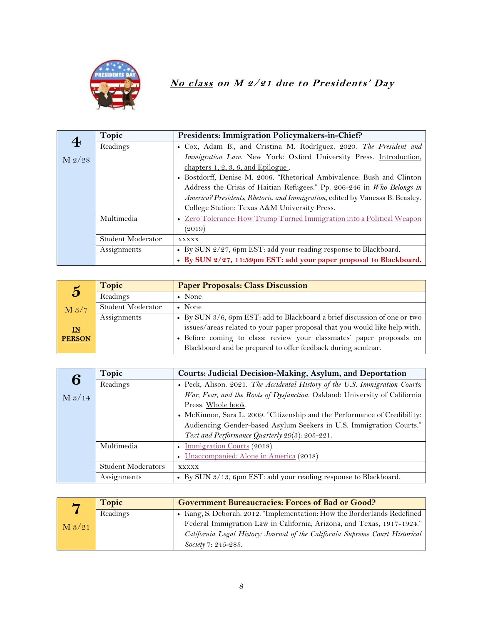

# **No class on M 2/21 due to Presidents' Day**

|         | Topic             | Presidents: Immigration Policymakers-in-Chief?                                |
|---------|-------------------|-------------------------------------------------------------------------------|
| $\bf 4$ | Readings          | • Cox, Adam B., and Cristina M. Rodríguez. 2020. The President and            |
| M 2/28  |                   | Immigration Law. New York: Oxford University Press. Introduction,             |
|         |                   | chapters $1, 2, 3, 6$ , and Epilogue.                                         |
|         |                   | • Bostdorff, Denise M. 2006. "Rhetorical Ambivalence: Bush and Clinton        |
|         |                   | Address the Crisis of Haitian Refugees." Pp. 206-246 in Who Belongs in        |
|         |                   | America? Presidents, Rhetoric, and Immigration, edited by Vanessa B. Beasley. |
|         |                   | College Station: Texas A&M University Press.                                  |
|         | Multimedia        | • Zero Tolerance: How Trump Turned Immigration into a Political Weapon        |
|         |                   | (2019)                                                                        |
|         | Student Moderator | XXXXX                                                                         |
|         | Assignments       | • By SUN 2/27, 6pm EST: add your reading response to Blackboard.              |
|         |                   | · By SUN 2/27, 11:59pm EST: add your paper proposal to Blackboard.            |

| $\mathbf{5}$              | Topic             | <b>Paper Proposals: Class Discussion</b>                                   |
|---------------------------|-------------------|----------------------------------------------------------------------------|
|                           | Readings          | $\bullet$ None                                                             |
| M <sub>3/7</sub>          | Student Moderator | $\bullet$ None                                                             |
|                           | Assignments       | • By SUN 3/6, 6pm EST: add to Blackboard a brief discussion of one or two  |
| $\underline{\mathbf{IN}}$ |                   | issues/areas related to your paper proposal that you would like help with. |
| <b>PERSON</b>             |                   | · Before coming to class: review your classmates' paper proposals on       |
|                           |                   | Blackboard and be prepared to offer feedback during seminar.               |

| 6        | Topic                     | Courts: Judicial Decision-Making, Asylum, and Deportation                    |
|----------|---------------------------|------------------------------------------------------------------------------|
|          | Readings                  | • Peck, Alison. 2021. The Accidental History of the U.S. Immigration Courts: |
| $M$ 3/14 |                           | War, Fear, and the Roots of Dysfunction. Oakland: University of California   |
|          |                           | Press. Whole book.                                                           |
|          |                           | • McKinnon, Sara L. 2009. "Citizenship and the Performance of Credibility:   |
|          |                           | Audiencing Gender-based Asylum Seekers in U.S. Immigration Courts."          |
|          |                           | Text and Performance Quarterly 29(3): 205-221.                               |
|          | Multimedia                | • Immigration Courts (2018)                                                  |
|          |                           | • Unaccompanied: Alone in America (2018)                                     |
|          | <b>Student Moderators</b> | <b>XXXXX</b>                                                                 |
|          | Assignments               | • By SUN 3/13, 6pm EST: add your reading response to Blackboard.             |

|          | Topic    | <b>Government Bureaucracies: Forces of Bad or Good?</b>                      |
|----------|----------|------------------------------------------------------------------------------|
|          | Readings | • Kang, S. Deborah. 2012. "Implementation: How the Borderlands Redefined     |
| $M_3/21$ |          | Federal Immigration Law in California, Arizona, and Texas, 1917-1924."       |
|          |          | California Legal History: Journal of the California Supreme Court Historical |
|          |          | Society 7: 245-285.                                                          |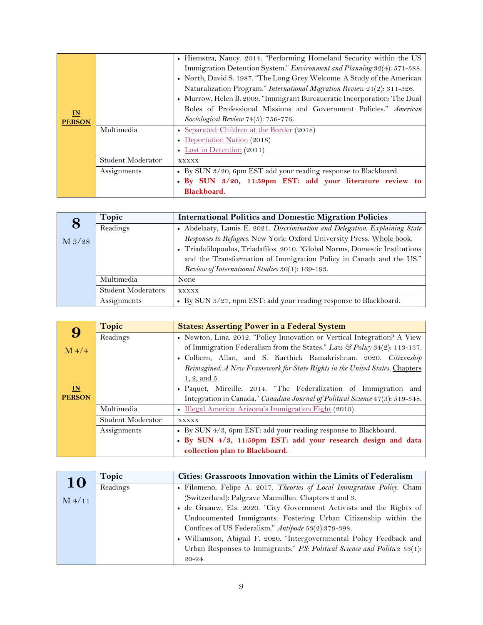|               |                   | • Hiemstra, Nancy. 2014. "Performing Homeland Security within the US<br>Immigration Detention System." Environment and Planning 32(4): 571-588.<br>• North, David S. 1987. "The Long Grey Welcome: A Study of the American<br>Naturalization Program." International Migration Review 21(2): 311-326.<br>• Marrow, Helen B. 2009. "Immigrant Bureaucratic Incorporation: The Dual |
|---------------|-------------------|-----------------------------------------------------------------------------------------------------------------------------------------------------------------------------------------------------------------------------------------------------------------------------------------------------------------------------------------------------------------------------------|
| $\mathbf{M}$  |                   | Roles of Professional Missions and Government Policies." American                                                                                                                                                                                                                                                                                                                 |
| <b>PERSON</b> |                   | Sociological Review 74(5): 756-776.                                                                                                                                                                                                                                                                                                                                               |
|               | Multimedia        | • Separated: Children at the Border (2018)                                                                                                                                                                                                                                                                                                                                        |
|               |                   | • Deportation Nation (2018)                                                                                                                                                                                                                                                                                                                                                       |
|               |                   | • Lost in Detention $(2011)$                                                                                                                                                                                                                                                                                                                                                      |
|               | Student Moderator | <b>XXXXX</b>                                                                                                                                                                                                                                                                                                                                                                      |
|               | Assignments       | • By SUN 3/20, 6pm EST add your reading response to Blackboard.                                                                                                                                                                                                                                                                                                                   |
|               |                   | · By SUN 3/20, 11:59pm EST: add your literature review to                                                                                                                                                                                                                                                                                                                         |
|               |                   | Blackboard.                                                                                                                                                                                                                                                                                                                                                                       |

|                 | Topic                     | <b>International Politics and Domestic Migration Policies</b>               |
|-----------------|---------------------------|-----------------------------------------------------------------------------|
| 8               | Readings                  | • Abdelaaty, Lamis E. 2021. Discrimination and Delegation: Explaining State |
| $M\frac{3}{28}$ |                           | Responses to Refugees. New York: Oxford University Press. Whole book.       |
|                 |                           | • Triadafilopoulos, Triadafilos. 2010. "Global Norms, Domestic Institutions |
|                 |                           | and the Transformation of Immigration Policy in Canada and the US."         |
|                 |                           | Review of International Studies 36(1): 169-193.                             |
|                 | Multimedia                | None                                                                        |
|                 | <b>Student Moderators</b> | <b>XXXXX</b>                                                                |
|                 | Assignments               | • By SUN 3/27, 6pm EST: add your reading response to Blackboard.            |

|                | Topic             | <b>States: Asserting Power in a Federal System</b>                            |
|----------------|-------------------|-------------------------------------------------------------------------------|
|                | Readings          | • Newton, Lina. 2012. "Policy Innovation or Vertical Integration? A View      |
| $M\frac{4}{4}$ |                   | of Immigration Federalism from the States." Law & Policy 34(2): 113-137.      |
|                |                   | · Colbern, Allan, and S. Karthick Ramakrishnan. 2020. Citizenship             |
|                |                   | Reimagined: A New Framework for State Rights in the United States. Chapters   |
|                |                   | $1, 2,$ and 5.                                                                |
| IN             |                   | • Paquet, Mireille. 2014. "The Federalization of Immigration and              |
| <b>PERSON</b>  |                   | Integration in Canada." Canadian Journal of Political Science 47(3): 519-548. |
|                | Multimedia        | • Illegal America: Arizona's Immigration Fight (2010)                         |
|                | Student Moderator | <b>XXXXX</b>                                                                  |
|                | Assignments       | • By SUN 4/3, 6pm EST: add your reading response to Blackboard.               |
|                |                   | · By SUN 4/3, 11:59pm EST: add your research design and data                  |
|                |                   | collection plan to Blackboard.                                                |

| 10              | Topic    | Cities: Grassroots Innovation within the Limits of Federalism              |
|-----------------|----------|----------------------------------------------------------------------------|
|                 | Readings | • Filomeno, Felipe A. 2017. Theories of Local Immigration Policy. Cham     |
| $M\frac{4}{11}$ |          | (Switzerland): Palgrave Macmillan. Chapters 2 and 3.                       |
|                 |          | · de Graauw, Els. 2020. "City Government Activists and the Rights of       |
|                 |          | Undocumented Immigrants: Fostering Urban Citizenship within the            |
|                 |          | Confines of US Federalism." Antipode 53(2):379-398.                        |
|                 |          | · Williamson, Abigail F. 2020. "Intergovernmental Policy Feedback and      |
|                 |          | Urban Responses to Immigrants." PS: Political Science and Politics: 53(1): |
|                 |          | $20 - 24.$                                                                 |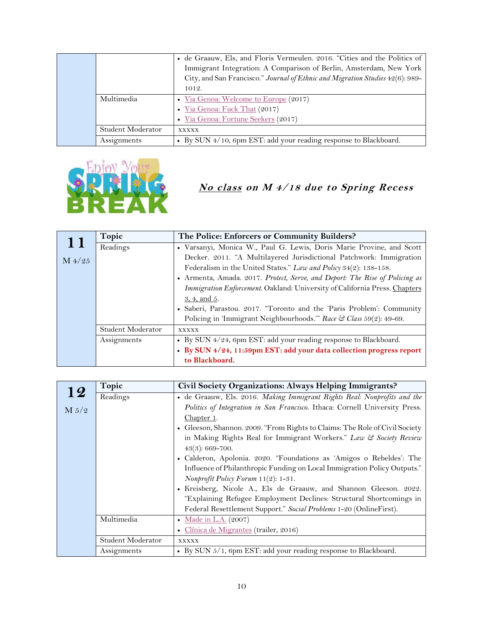|  |                   | • de Graauw, Els, and Floris Vermeulen. 2016. "Cities and the Politics of<br>Immigrant Integration: A Comparison of Berlin, Amsterdam, New York<br>City, and San Francisco." Journal of Ethnic and Migration Studies 42(6): 989-<br>1012. |
|--|-------------------|-------------------------------------------------------------------------------------------------------------------------------------------------------------------------------------------------------------------------------------------|
|  | Multimedia        | • Via Genoa: Welcome to Europe (2017)                                                                                                                                                                                                     |
|  |                   | Via Genoa: Fuck That (2017)                                                                                                                                                                                                               |
|  |                   | • Via Genoa: Fortune Seekers (2017)                                                                                                                                                                                                       |
|  | Student Moderator | XXXXX                                                                                                                                                                                                                                     |
|  | Assignments       | • By SUN 4/10, 6pm EST: add your reading response to Blackboard.                                                                                                                                                                          |



# **No class on M 4/18 due to Spring Recess**

| 11              | Topic             | The Police: Enforcers or Community Builders?                                |
|-----------------|-------------------|-----------------------------------------------------------------------------|
|                 | Readings          | • Varsanyi, Monica W., Paul G. Lewis, Doris Marie Provine, and Scott        |
| $M\frac{4}{25}$ |                   | Decker. 2011. "A Multilayered Jurisdictional Patchwork: Immigration         |
|                 |                   | Federalism in the United States." Law and Policy 34(2): 138-158.            |
|                 |                   | • Armenta, Amada. 2017. Protect, Serve, and Deport: The Rise of Policing as |
|                 |                   | Immigration Enforcement. Oakland: University of California Press. Chapters  |
|                 |                   | 3, 4, and 5.                                                                |
|                 |                   | • Saberi, Parastou. 2017. "Toronto and the 'Paris Problem': Community       |
|                 |                   | Policing in 'Immigrant Neighbourhoods." Race & Class 59(2): 49-69.          |
|                 | Student Moderator | <b>XXXXX</b>                                                                |
|                 | Assignments       | • By SUN 4/24, 6pm EST: add your reading response to Blackboard.            |
|                 |                   | · By SUN 4/24, 11:59pm EST: add your data collection progress report        |
|                 |                   | to Blackboard.                                                              |

|       | Topic             | Civil Society Organizations: Always Helping Immigrants?                     |
|-------|-------------------|-----------------------------------------------------------------------------|
| 12    | Readings          | • de Graauw, Els. 2016. Making Immigrant Rights Real: Nonprofits and the    |
| M 5/2 |                   | Politics of Integration in San Francisco. Ithaca: Cornell University Press. |
|       |                   | Chapter 1.                                                                  |
|       |                   | • Gleeson, Shannon. 2009. "From Rights to Claims: The Role of Civil Society |
|       |                   | in Making Rights Real for Immigrant Workers." Law & Society Review          |
|       |                   | $43(3)$ : 669-700.                                                          |
|       |                   | • Calderon, Apolonia. 2020. "Foundations as 'Amigos o Rebeldes': The        |
|       |                   | Influence of Philanthropic Funding on Local Immigration Policy Outputs."    |
|       |                   | Nonprofit Policy Forum 11(2): 1-31.                                         |
|       |                   | · Kreisberg, Nicole A., Els de Graauw, and Shannon Gleeson. 2022.           |
|       |                   | "Explaining Refugee Employment Declines: Structural Shortcomings in         |
|       |                   | Federal Resettlement Support." Social Problems 1-20 (OnlineFirst).          |
|       | Multimedia        | • Made in L.A. (2007)                                                       |
|       |                   | · Clínica de Migrantes (trailer, 2016)                                      |
|       | Student Moderator | <b>XXXXX</b>                                                                |
|       | Assignments       | • By SUN 5/1, 6pm EST: add your reading response to Blackboard.             |